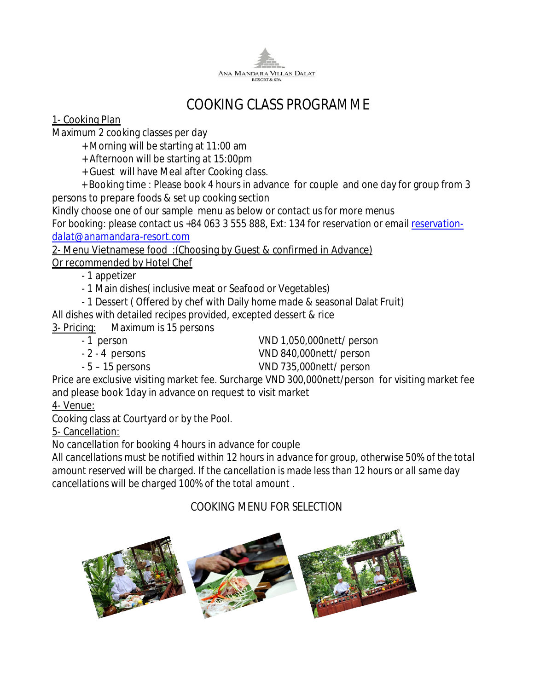

# *COOKING CLASS PROGRAMME*

## *1***- Cooking Plan**

Maximum 2 cooking classes per day

- + Morning will be starting at 11:00 am
- + Afternoon will be starting at 15:00pm
- + Guest will have Meal after Cooking class.
- + Booking time : Please book 4 hours in advance for couple and one day for group from 3 persons to prepare foods & set up cooking section

Kindly choose one of our sample menu as below or contact us for more menus

*For booking: please contact us +84 063 3 555 888, Ext: 134 for reservation or email reservationdalat@anamandara-resort.com* 

**2- Menu Vietnamese food :(Choosing by Guest & confirmed in Advance) Or recommended by Hotel Chef**

- 1 appetizer

- 1 Main dishes( inclusive meat or Seafood or Vegetables)
- 1 Dessert ( Offered by chef with Daily home made & seasonal Dalat Fruit)

All dishes with detailed recipes provided, excepted dessert & rice

**3- Pricing:** Maximum is 15 persons

- 1 person VND 1,050,000nett/ person
	-
- 
- 2 4 persons VND 840,000nett/ person
- 
- 5 15 persons VND 735,000nett/ person

Price are exclusive visiting market fee. Surcharge VND 300,000nett/person for visiting market fee and please book 1day in advance on request to visit market

## **4- Venue:**

Cooking class at Courtyard or by the Pool.

5- Cancellation:

*No cancellation for booking 4 hours in advance for couple* 

*All cancellations must be notified within 12 hours in advance for group, otherwise 50% of the total amount reserved will be charged. If the cancellation is made less than 12 hours or all same day cancellations will be charged 100% of the total amount .* 

## *COOKING MENU FOR SELECTION*

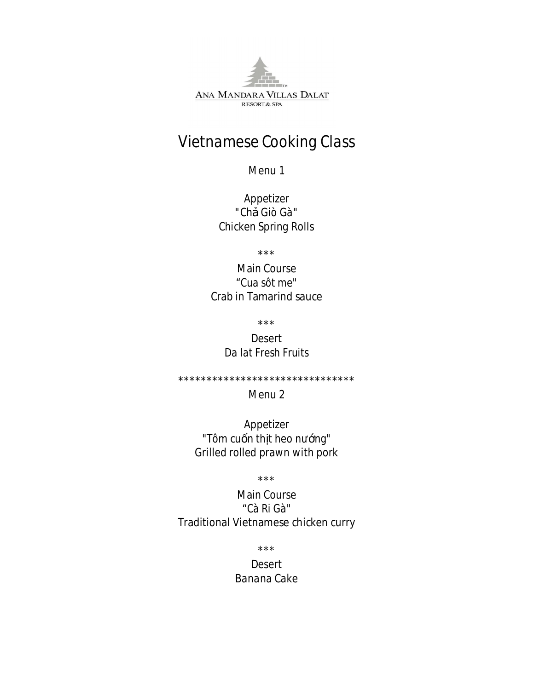ANA MANDARA VILLAS DALAT RESORT & SPA

# Vietnamese Cooking Class

Menu 1

Appetizer "Ch Giò Gà" **Chicken Spring Rolls** 

 $***$ 

**Main Course** "Cua sôt me" **Crab in Tamarind sauce** 

 $* * *$ 

**Desert** Da lat Fresh Fruits

\*\*\*\*\*\*\*\*\*\*\*\*\*\*\*\*\*\*\*\*\*\*\*\*\*\*\*\*\*\*\*

### Menu 2

Appetizer "Tôm cu n th t heo n ng" Grilled rolled prawn with pork

 $***$ 

**Main Course** "Cà Ri Gà" Traditional Vietnamese chicken curry

 $***$ 

**Desert Banana Cake**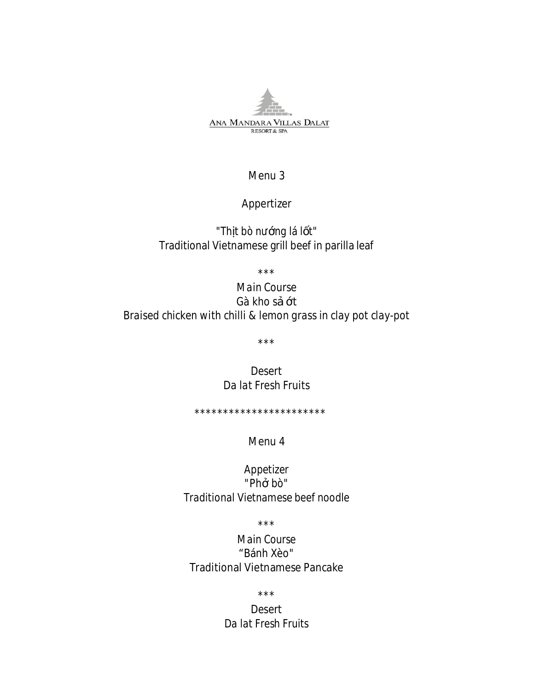

#### Menu 3

### Appertizer

"Thtbòn nglál t" Traditional Vietnamese grill beef in parilla leaf

 $***$ 

## **Main Course** Gà kho st Braised chicken with chilli & lemon grass in clay pot clay-pot

 $***$ 

**Desert** Da lat Fresh Fruits

\*\*\*\*\*\*\*\*\*\*\*\*\*\*\*\*\*\*\*\*\*\*\*

### Menu 4

Appetizer "Ph bò" Traditional Vietnamese beef noodle

 $***$ 

Main Course "Bánh Xèo" **Traditional Vietnamese Pancake** 

 $\star\star\star$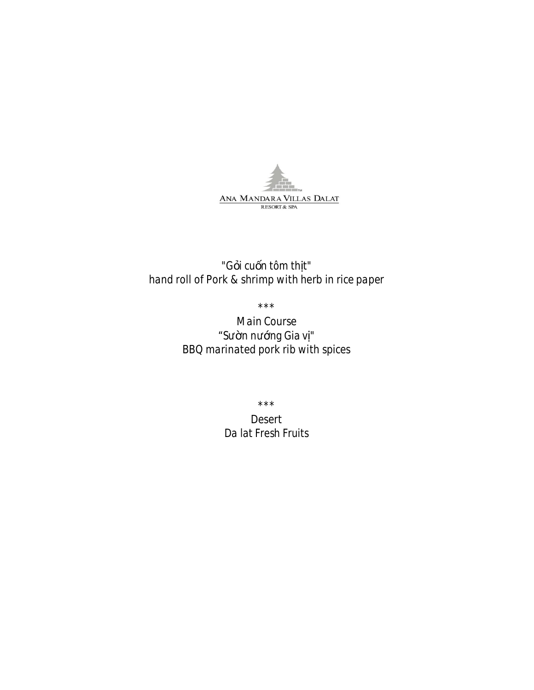

## "G i cu n tôm th t" hand roll of Pork & shrimp with herb in rice paper

 $***$ 

**Main Course** S nn ng Giav" **BBO** marinated pork rib with spices

 $\star\star\star$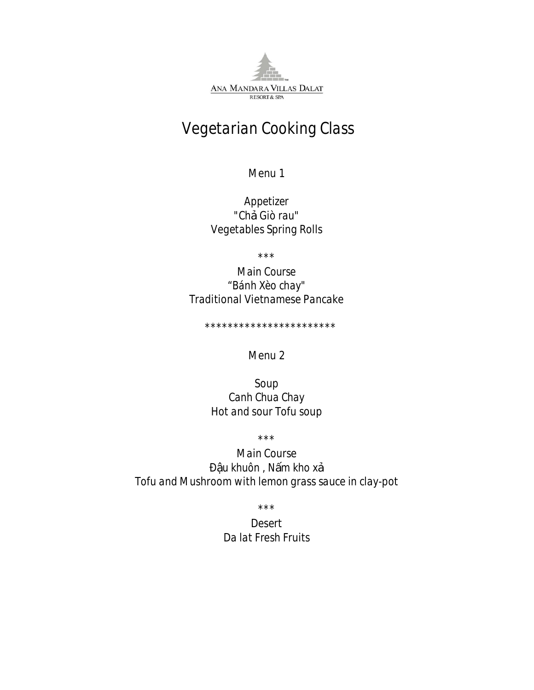ANA MANDARA VILLAS DALAT **RESORT & SPA** 

# Vegetarian Cooking Class

Menu 1

Appetizer "Ch Giò rau" **Vegetables Spring Rolls** 

 $* * *$ 

Main Course "Bánh Xèo chay" Traditional Vietnamese Pancake

\*\*\*\*\*\*\*\*\*\*\*\*\*\*\*\*\*\*\*\*\*\*\*

Menu<sub>2</sub>

Soup Canh Chua Chay Hot and sour Tofu soup

 $* * *$ 

**Main Course** u khuôn, N m kho x Tofu and Mushroom with lemon grass sauce in clay-pot

 $***$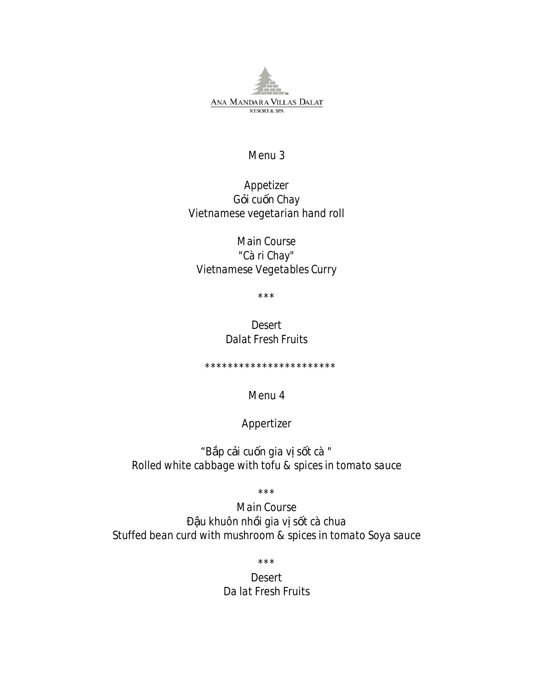ANA MANDARA VILLAS DALAT **RESORT & SPA** 

#### Menu 3

## Appetizer G icu n Chay Vietnamese vegetarian hand roll

Main Course "Cà ri Chay" Vietnamese Vegetables Curry

 $***$ 

Desert **Dalat Fresh Fruits** 

\*\*\*\*\*\*\*\*\*\*\*\*\*\*\*\*\*\*\*\*\*\*\*

Menu 4

### Appertizer

"B p c i cu n gia v s t cà " Rolled white cabbage with tofu & spices in tomato sauce

 $***$ 

**Main Course** u khuôn nh i gia v s t cà chua Stuffed bean curd with mushroom & spices in tomato Soya sauce

 $\star\star\star$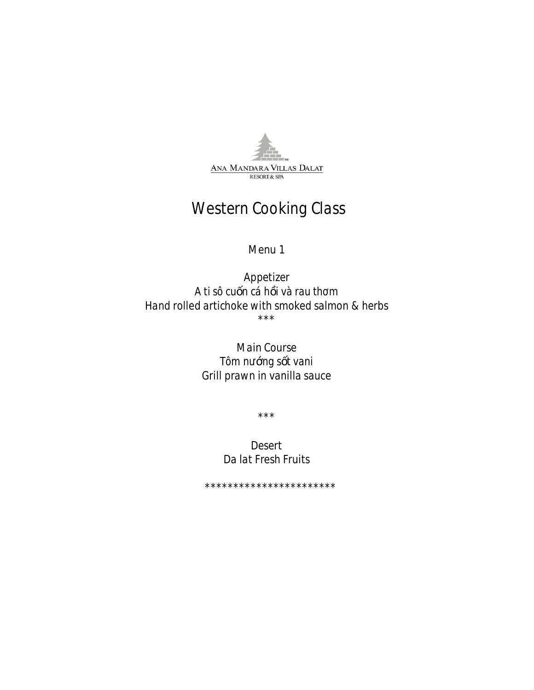

# **Western Cooking Class**

#### Menu 1

Appetizer A ti sô cu n cá h i và rau th m Hand rolled artichoke with smoked salmon & herbs  $***$ 

> **Main Course** Tôm n ng stvani Grill prawn in vanilla sauce

> > $***$

Desert Da lat Fresh Fruits

\*\*\*\*\*\*\*\*\*\*\*\*\*\*\*\*\*\*\*\*\*\*\*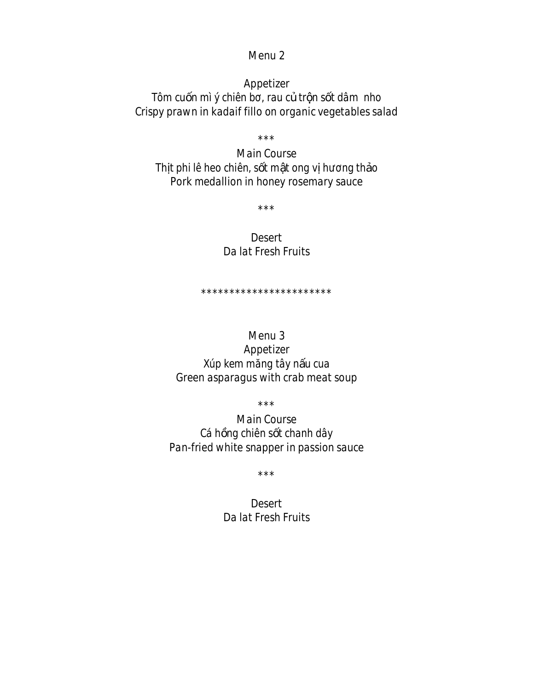#### Menu 2

Appetizer Tôm cu n mì ý chiên b, rau c tr n s t dâm nho Crispy prawn in kadaif fillo on organic vegetables salad

 $***$ 

**Main Course** Th t phi lê heo chiên, s t m t ong v h ng th o Pork medallion in honey rosemary sauce

 $* * *$ 

Desert Da lat Fresh Fruits

\*\*\*\*\*\*\*\*\*\*\*\*\*\*\*\*\*\*\*\*\*\*\*

#### Menu 3

Appetizer Xúp kem m ng tây n u cua Green asparagus with crab meat soup

 $***$ 

**Main Course** Cá h ng chiên s t chanh dây Pan-fried white snapper in passion sauce

 $* * *$